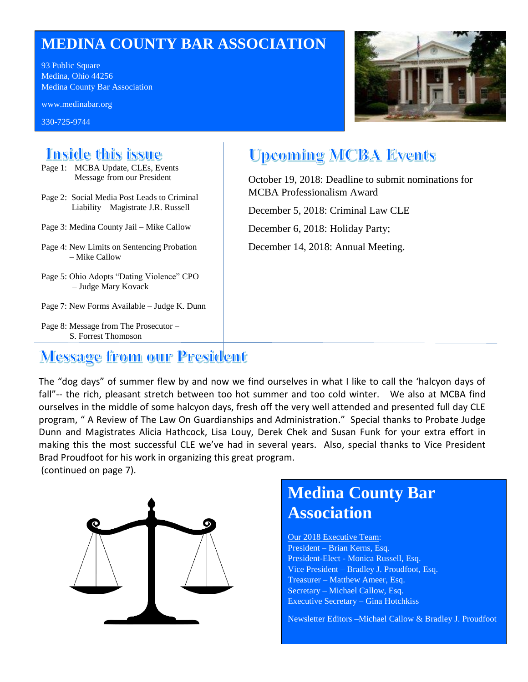# **MEDINA COUNTY BAR ASSOCIATION**

93 Public Square Medina, Ohio 44256 Medina County Bar Association

www.medinabar.org

330-725-9744



# **Inside this issue**

- Page 1: MCBA Update, CLEs, Events Message from our President
- Page 2: Social Media Post Leads to Criminal Liability – Magistrate J.R. Russell
- Page 3: Medina County Jail Mike Callow
- Page 4: New Limits on Sentencing Probation – Mike Callow
- Page 5: Ohio Adopts "Dating Violence" CPO – Judge Mary Kovack
- Page 7: New Forms Available Judge K. Dunn
- Page 8: Message from The Prosecutor S. Forrest Thompson

# **Upcoming MCBA Events**

October 19, 2018: Deadline to submit nominations for MCBA Professionalism Award

December 5, 2018: Criminal Law CLE

December 6, 2018: Holiday Party;

December 14, 2018: Annual Meeting.

# <u>Message from our President</u>

The "dog days" of summer flew by and now we find ourselves in what I like to call the 'halcyon days of fall"-- the rich, pleasant stretch between too hot summer and too cold winter. We also at MCBA find ourselves in the middle of some halcyon days, fresh off the very well attended and presented full day CLE program, " A Review of The Law On Guardianships and Administration." Special thanks to Probate Judge Dunn and Magistrates Alicia Hathcock, Lisa Louy, Derek Chek and Susan Funk for your extra effort in making this the most successful CLE we've had in several years. Also, special thanks to Vice President Brad Proudfoot for his work in organizing this great program.

(continued on page 7).



# **Medina County Bar Association**

#### Our 2018 Executive Team: President – Brian Kerns, Esq. President-Elect - Monica Russell, Esq. Vice President – Bradley J. Proudfoot, Esq. Treasurer – Matthew Ameer, Esq. Secretary – Michael Callow, Esq. Executive Secretary – Gina Hotchkiss

Newsletter Editors –Michael Callow & Bradley J. Proudfoot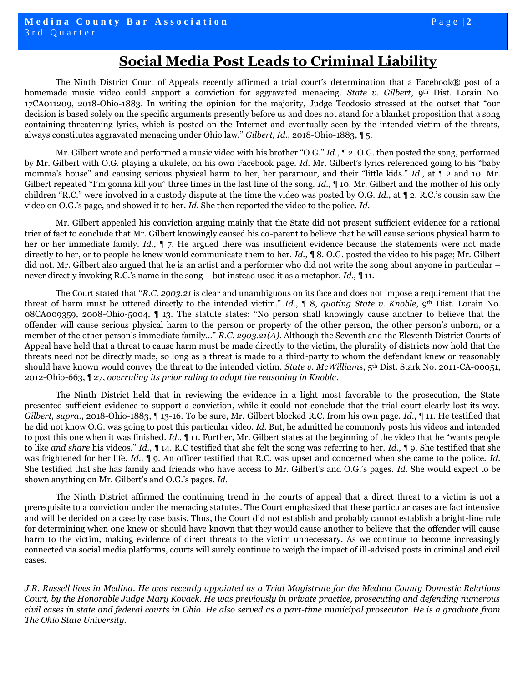## **Social Media Post Leads to Criminal Liability**

The Ninth District Court of Appeals recently affirmed a trial court's determination that a Facebook® post of a homemade music video could support a conviction for aggravated menacing. *State v. Gilbert*, 9th Dist. Lorain No. 17CA011209, 2018-Ohio-1883. In writing the opinion for the majority, Judge Teodosio stressed at the outset that "our decision is based solely on the specific arguments presently before us and does not stand for a blanket proposition that a song containing threatening lyrics, which is posted on the Internet and eventually seen by the intended victim of the threats, always constitutes aggravated menacing under Ohio law." *Gilbert, Id.*, 2018-Ohio-1883, ¶ 5.

Mr. Gilbert wrote and performed a music video with his brother "O.G." *Id.*, ¶ 2. O.G. then posted the song, performed by Mr. Gilbert with O.G. playing a ukulele, on his own Facebook page. *Id.* Mr. Gilbert's lyrics referenced going to his "baby momma's house" and causing serious physical harm to her, her paramour, and their "little kids." *Id.*, at ¶ 2 and 10. Mr. Gilbert repeated "I'm gonna kill you" three times in the last line of the song. *Id.*, ¶ 10. Mr. Gilbert and the mother of his only children "R.C." were involved in a custody dispute at the time the video was posted by O.G. *Id.*, at ¶ 2. R.C.'s cousin saw the video on O.G.'s page, and showed it to her. *Id.* She then reported the video to the police. *Id.*

Mr. Gilbert appealed his conviction arguing mainly that the State did not present sufficient evidence for a rational trier of fact to conclude that Mr. Gilbert knowingly caused his co-parent to believe that he will cause serious physical harm to her or her immediate family. *Id.*, ¶ 7. He argued there was insufficient evidence because the statements were not made directly to her, or to people he knew would communicate them to her. *Id.*, ¶ 8. O.G. posted the video to his page; Mr. Gilbert did not. Mr. Gilbert also argued that he is an artist and a performer who did not write the song about anyone in particular – never directly invoking R.C.'s name in the song – but instead used it as a metaphor. *Id.*, ¶ 11.

The Court stated that "*R.C. 2903.21* is clear and unambiguous on its face and does not impose a requirement that the threat of harm must be uttered directly to the intended victim." *Id.*, ¶ 8, *quoting State v. Knoble*, 9th Dist. Lorain No. 08CA009359, 2008-Ohio-5004, ¶ 13. The statute states: "No person shall knowingly cause another to believe that the offender will cause serious physical harm to the person or property of the other person, the other person's unborn, or a member of the other person's immediate family…" *R.C. 2903.21(A)*. Although the Seventh and the Eleventh District Courts of Appeal have held that a threat to cause harm must be made directly to the victim, the plurality of districts now hold that the threats need not be directly made, so long as a threat is made to a third-party to whom the defendant knew or reasonably should have known would convey the threat to the intended victim. *State v. McWilliams*, 5th Dist. Stark No. 2011-CA-00051, 2012-Ohio-663, ¶ 27, *overruling its prior ruling to adopt the reasoning in Knoble*.

The Ninth District held that in reviewing the evidence in a light most favorable to the prosecution, the State presented sufficient evidence to support a conviction, while it could not conclude that the trial court clearly lost its way. *Gilbert, supra.*, 2018-Ohio-1883, ¶ 13-16. To be sure, Mr. Gilbert blocked R.C. from his own page. *Id.*, ¶ 11. He testified that he did not know O.G. was going to post this particular video. *Id.* But, he admitted he commonly posts his videos and intended to post this one when it was finished. *Id.*, ¶ 11. Further, Mr. Gilbert states at the beginning of the video that he "wants people to like *and share* his videos." *Id.*, ¶ 14. R.C testified that she felt the song was referring to her. *Id.*, ¶ 9. She testified that she was frightened for her life. *Id.*, ¶ 9. An officer testified that R.C. was upset and concerned when she came to the police. *Id.* She testified that she has family and friends who have access to Mr. Gilbert's and O.G.'s pages. *Id.* She would expect to be shown anything on Mr. Gilbert's and O.G.'s pages. *Id.*

The Ninth District affirmed the continuing trend in the courts of appeal that a direct threat to a victim is not a prerequisite to a conviction under the menacing statutes. The Court emphasized that these particular cases are fact intensive and will be decided on a case by case basis. Thus, the Court did not establish and probably cannot establish a bright-line rule for determining when one knew or should have known that they would cause another to believe that the offender will cause harm to the victim, making evidence of direct threats to the victim unnecessary. As we continue to become increasingly connected via social media platforms, courts will surely continue to weigh the impact of ill-advised posts in criminal and civil cases.

*J.R. Russell lives in Medina. He was recently appointed as a Trial Magistrate for the Medina County Domestic Relations Court, by the Honorable Judge Mary Kovack. He was previously in private practice, prosecuting and defending numerous civil cases in state and federal courts in Ohio. He also served as a part-time municipal prosecutor. He is a graduate from The Ohio State University.*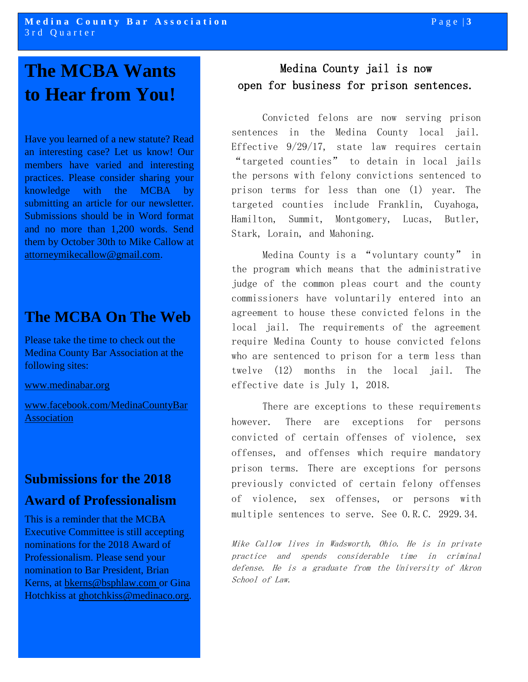# **The MCBA Wants to Hear from You!**

Have you learned of a new statute? Read an interesting case? Let us know! Our members have varied and interesting practices. Please consider sharing your knowledge with the MCBA by submitting an article for our newsletter. Submissions should be in Word format and no more than 1,200 words. Send them by October 30th to Mike Callow at [attorneymikecallow@gmail.com.](mailto:attorneymikecallow@gmail.com)

# **The MCBA On The Web**

Please take the time to check out the Medina County Bar Association at the following sites:

[www.medinabar.org](http://www.medinabar.org/)

[www.facebook.com/MedinaCountyBar](http://www.facebook.com/MedinaCountyBarAssociation) [Association](http://www.facebook.com/MedinaCountyBarAssociation)

## **Submissions for the 2018**

## **Award of Professionalism**

This is a reminder that the MCBA Executive Committee is still accepting nominations for the 2018 Award of Professionalism. Please send your nomination to Bar President, Brian Kerns, at [bkerns@bsphlaw.com](mailto:bkerns@bsphlaw.com) or Gina Hotchkiss at ghotchkiss@medinaco.org.

# Medina County jail is now open for business for prison sentences.

Convicted felons are now serving prison sentences in the Medina County local jail. Effective 9/29/17, state law requires certain "targeted counties" to detain in local jails the persons with felony convictions sentenced to prison terms for less than one (1) year. The targeted counties include Franklin, Cuyahoga, Hamilton, Summit, Montgomery, Lucas, Butler, Stark, Lorain, and Mahoning.

Medina County is a "voluntary county" in the program which means that the administrative judge of the common pleas court and the county commissioners have voluntarily entered into an agreement to house these convicted felons in the local jail. The requirements of the agreement require Medina County to house convicted felons who are sentenced to prison for a term less than twelve (12) months in the local jail. The effective date is July 1, 2018.

There are exceptions to these requirements however. There are exceptions for persons convicted of certain offenses of violence, sex offenses, and offenses which require mandatory prison terms. There are exceptions for persons previously convicted of certain felony offenses of violence, sex offenses, or persons with multiple sentences to serve. See O.R.C. 2929.34.

Mike Callow lives in Wadsworth, Ohio. He is in private practice and spends considerable time in criminal defense. He is a graduate from the University of Akron School of Law.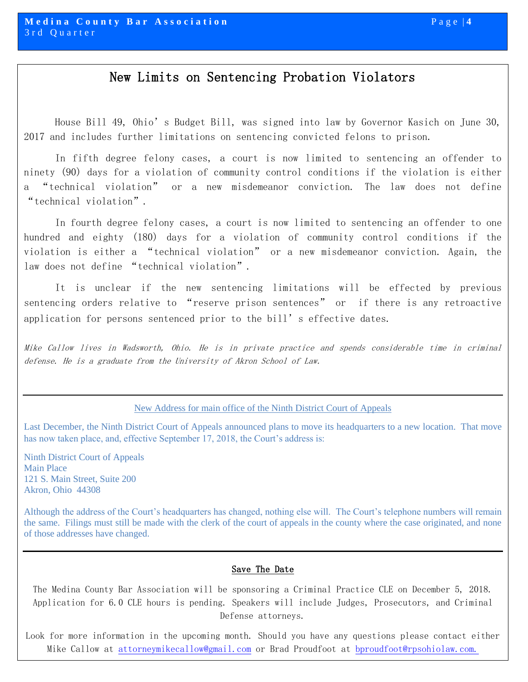### New Limits on Sentencing Probation Violators

House Bill 49, Ohio's Budget Bill, was signed into law by Governor Kasich on June 30, 2017 and includes further limitations on sentencing convicted felons to prison.

In fifth degree felony cases, a court is now limited to sentencing an offender to ninety (90) days for a violation of community control conditions if the violation is either a "technical violation" or a new misdemeanor conviction. The law does not define "technical violation".

In fourth degree felony cases, a court is now limited to sentencing an offender to one hundred and eighty (180) days for a violation of community control conditions if the violation is either a "technical violation" or a new misdemeanor conviction. Again, the law does not define "technical violation".

It is unclear if the new sentencing limitations will be effected by previous sentencing orders relative to "reserve prison sentences" or if there is any retroactive application for persons sentenced prior to the bill's effective dates.

Mike Callow lives in Wadsworth, Ohio. He is in private practice and spends considerable time in criminal defense. He is a graduate from the University of Akron School of Law.

#### New Address for main office of the Ninth District Court of Appeals

Last December, the Ninth District Court of Appeals announced plans to move its headquarters to a new location. That move has now taken place, and, effective September 17, 2018, the Court's address is:

Ninth District Court of Appeals Main Place 121 S. Main Street, Suite 200 Akron, Ohio 44308

Although the address of the Court's headquarters has changed, nothing else will. The Court's telephone numbers will remain the same. Filings must still be made with the clerk of the court of appeals in the county where the case originated, and none of those addresses have changed.

#### Save The Date

The Medina County Bar Association will be sponsoring a Criminal Practice CLE on December 5, 2018. Application for 6.0 CLE hours is pending. Speakers will include Judges, Prosecutors, and Criminal Defense attorneys.

Look for more information in the upcoming month. Should you have any questions please contact either Mike Callow at [attorneymikecallow@gmail.com](mailto:attorneymikecallow@gmail.com) or Brad Proudfoot at [bproudfoot@rpsohiolaw.com.](mailto:bproudfoot@rpsohiolaw.com)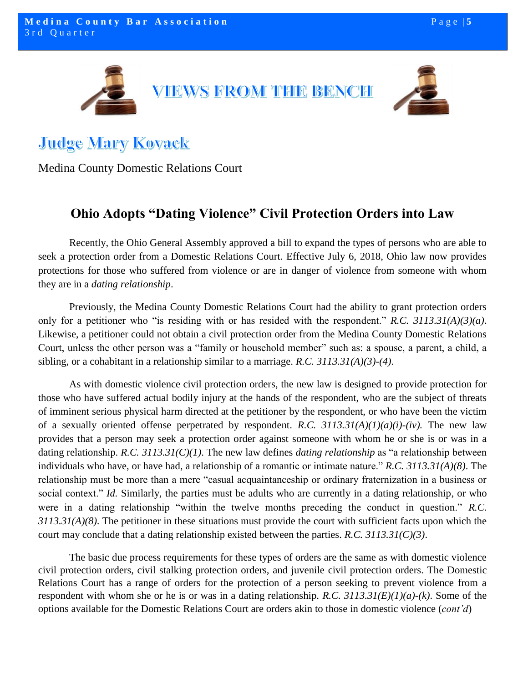

# **Judge Mary Kovack**

Medina County Domestic Relations Court

## **Ohio Adopts "Dating Violence" Civil Protection Orders into Law**

Recently, the Ohio General Assembly approved a bill to expand the types of persons who are able to seek a protection order from a Domestic Relations Court. Effective July 6, 2018, Ohio law now provides protections for those who suffered from violence or are in danger of violence from someone with whom they are in a *dating relationship*.

Previously, the Medina County Domestic Relations Court had the ability to grant protection orders only for a petitioner who "is residing with or has resided with the respondent." *R.C. 3113.31(A)(3)(a)*. Likewise, a petitioner could not obtain a civil protection order from the Medina County Domestic Relations Court, unless the other person was a "family or household member" such as: a spouse, a parent, a child, a sibling, or a cohabitant in a relationship similar to a marriage. *R.C. 3113.31(A)(3)-(4)*.

As with domestic violence civil protection orders, the new law is designed to provide protection for those who have suffered actual bodily injury at the hands of the respondent, who are the subject of threats of imminent serious physical harm directed at the petitioner by the respondent, or who have been the victim of a sexually oriented offense perpetrated by respondent. *R.C. 3113.31(A)(1)(a)(i)-(iv).* The new law provides that a person may seek a protection order against someone with whom he or she is or was in a dating relationship. *R.C. 3113.31(C)(1)*. The new law defines *dating relationship* as "a relationship between individuals who have, or have had, a relationship of a romantic or intimate nature." *R.C. 3113.31(A)(8)*. The relationship must be more than a mere "casual acquaintanceship or ordinary fraternization in a business or social context." *Id.* Similarly, the parties must be adults who are currently in a dating relationship, or who were in a dating relationship "within the twelve months preceding the conduct in question." *R.C. 3113.31(A)(8)*. The petitioner in these situations must provide the court with sufficient facts upon which the court may conclude that a dating relationship existed between the parties. *R.C. 3113.31(C)(3)*.

The basic due process requirements for these types of orders are the same as with domestic violence civil protection orders, civil stalking protection orders, and juvenile civil protection orders. The Domestic Relations Court has a range of orders for the protection of a person seeking to prevent violence from a respondent with whom she or he is or was in a dating relationship. *R.C. 3113.31(E)(1)(a)-(k)*. Some of the options available for the Domestic Relations Court are orders akin to those in domestic violence (*cont'd*)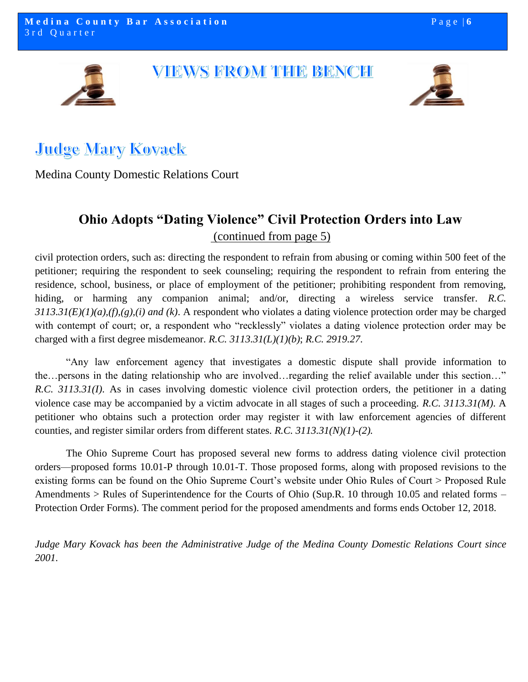## VIEWS FROM THE BENCH



# **Judge Mary Kovack**

Medina County Domestic Relations Court

# **Ohio Adopts "Dating Violence" Civil Protection Orders into Law** (continued from page 5)

civil protection orders, such as: directing the respondent to refrain from abusing or coming within 500 feet of the petitioner; requiring the respondent to seek counseling; requiring the respondent to refrain from entering the residence, school, business, or place of employment of the petitioner; prohibiting respondent from removing, hiding, or harming any companion animal; and/or, directing a wireless service transfer. *R.C. 3113.31(E)(1)(a),(f),(g),(i) and (k)*. A respondent who violates a dating violence protection order may be charged with contempt of court; or, a respondent who "recklessly" violates a dating violence protection order may be charged with a first degree misdemeanor. *R.C. 3113.31(L)(1)(b)*; *R.C. 2919.27*.

"Any law enforcement agency that investigates a domestic dispute shall provide information to the…persons in the dating relationship who are involved…regarding the relief available under this section…" *R.C. 3113.31(I)*. As in cases involving domestic violence civil protection orders, the petitioner in a dating violence case may be accompanied by a victim advocate in all stages of such a proceeding. *R.C. 3113.31(M)*. A petitioner who obtains such a protection order may register it with law enforcement agencies of different counties, and register similar orders from different states. *R.C. 3113.31(N)(1)-(2).* 

The Ohio Supreme Court has proposed several new forms to address dating violence civil protection orders—proposed forms 10.01-P through 10.01-T. Those proposed forms, along with proposed revisions to the existing forms can be found on the Ohio Supreme Court's website under Ohio Rules of Court > Proposed Rule Amendments > Rules of Superintendence for the Courts of Ohio (Sup.R. 10 through 10.05 and related forms – Protection Order Forms). The comment period for the proposed amendments and forms ends October 12, 2018.

*Judge Mary Kovack has been the Administrative Judge of the Medina County Domestic Relations Court since 2001.*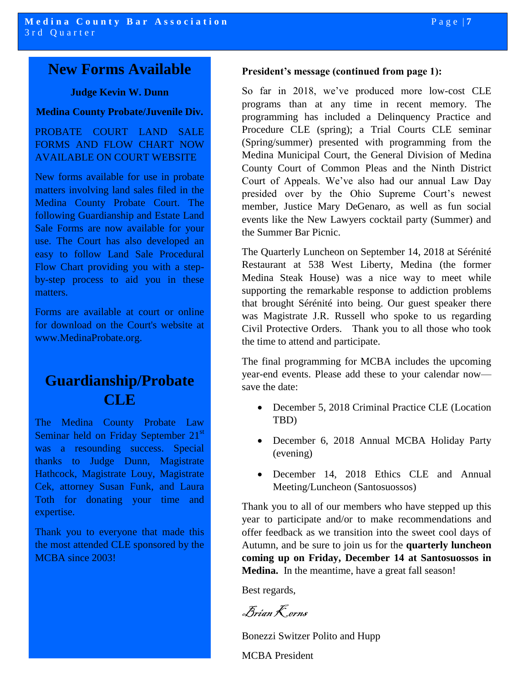# **New Forms Available**

#### **Judge Kevin W. Dunn**

#### **Medina County Probate/Juvenile Div.**

#### PROBATE COURT LAND SALE FORMS AND FLOW CHART NOW AVAILABLE ON COURT WEBSITE

New forms available for use in probate matters involving land sales filed in the Medina County Probate Court. The following Guardianship and Estate Land Sale Forms are now available for your use. The Court has also developed an easy to follow Land Sale Procedural Flow Chart providing you with a stepby-step process to aid you in these matters.

Forms are available at court or online for download on the Court's website at www.MedinaProbate.org.

# **Guardianship/Probate CLE**

The Medina County Probate Law Seminar held on Friday September 21<sup>st</sup> was a resounding success. Special thanks to Judge Dunn, Magistrate Hathcock, Magistrate Louy, Magistrate Cek, attorney Susan Funk, and Laura Toth for donating your time and expertise.

Thank you to everyone that made this the most attended CLE sponsored by the MCBA since 2003!

#### **President's message (continued from page 1):**

So far in 2018, we've produced more low-cost CLE programs than at any time in recent memory. The programming has included a Delinquency Practice and Procedure CLE (spring); a Trial Courts CLE seminar (Spring/summer) presented with programming from the Medina Municipal Court, the General Division of Medina County Court of Common Pleas and the Ninth District Court of Appeals. We've also had our annual Law Day presided over by the Ohio Supreme Court's newest member, Justice Mary DeGenaro, as well as fun social events like the New Lawyers cocktail party (Summer) and the Summer Bar Picnic.

The Quarterly Luncheon on September 14, 2018 at Sérénité Restaurant at 538 West Liberty, Medina (the former Medina Steak House) was a nice way to meet while supporting the remarkable response to addiction problems that brought Sérénité into being. Our guest speaker there was Magistrate J.R. Russell who spoke to us regarding Civil Protective Orders. Thank you to all those who took the time to attend and participate.

The final programming for MCBA includes the upcoming year-end events. Please add these to your calendar now save the date:

- December 5, 2018 Criminal Practice CLE (Location TBD)
- December 6, 2018 Annual MCBA Holiday Party (evening)
- December 14, 2018 Ethics CLE and Annual Meeting/Luncheon (Santosuossos)

Thank you to all of our members who have stepped up this year to participate and/or to make recommendations and offer feedback as we transition into the sweet cool days of Autumn, and be sure to join us for the **quarterly luncheon coming up on Friday, December 14 at Santosuossos in Medina.** In the meantime, have a great fall season!

Best regards,

Brian Kerns

Bonezzi Switzer Polito and Hupp

MCBA President